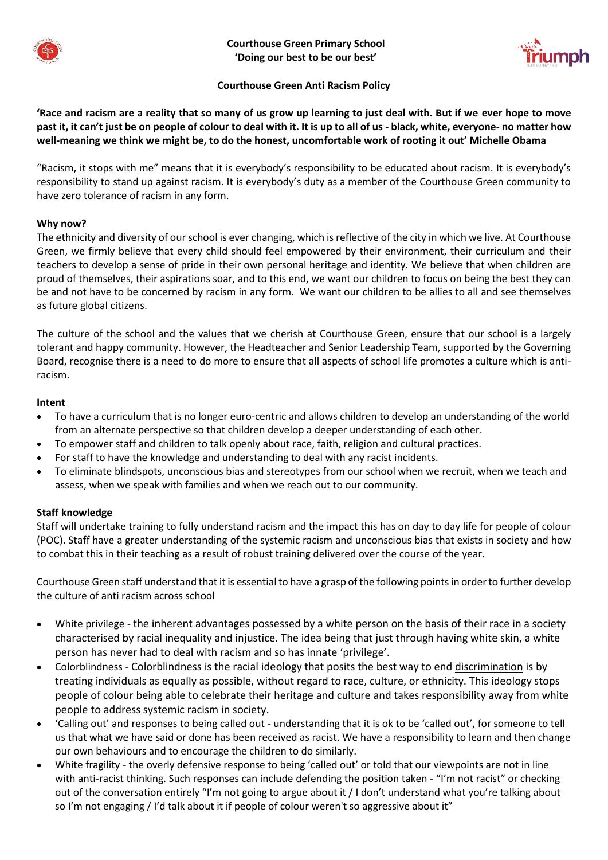



## **Courthouse Green Anti Racism Policy**

**'Race and racism are a reality that so many of us grow up learning to just deal with. But if we ever hope to move past it, it can't just be on people of colour to deal with it. It is up to all of us - black, white, everyone- no matter how well-meaning we think we might be, to do the honest, uncomfortable work of rooting it out' Michelle Obama**

"Racism, it stops with me" means that it is everybody's responsibility to be educated about racism. It is everybody's responsibility to stand up against racism. It is everybody's duty as a member of the Courthouse Green community to have zero tolerance of racism in any form.

### **Why now?**

The ethnicity and diversity of our school is ever changing, which is reflective of the city in which we live. At Courthouse Green, we firmly believe that every child should feel empowered by their environment, their curriculum and their teachers to develop a sense of pride in their own personal heritage and identity. We believe that when children are proud of themselves, their aspirations soar, and to this end, we want our children to focus on being the best they can be and not have to be concerned by racism in any form. We want our children to be allies to all and see themselves as future global citizens.

The culture of the school and the values that we cherish at Courthouse Green, ensure that our school is a largely tolerant and happy community. However, the Headteacher and Senior Leadership Team, supported by the Governing Board, recognise there is a need to do more to ensure that all aspects of school life promotes a culture which is antiracism.

#### **Intent**

- To have a curriculum that is no longer euro-centric and allows children to develop an understanding of the world from an alternate perspective so that children develop a deeper understanding of each other.
- To empower staff and children to talk openly about race, faith, religion and cultural practices.
- For staff to have the knowledge and understanding to deal with any racist incidents.
- To eliminate blindspots, unconscious bias and stereotypes from our school when we recruit, when we teach and assess, when we speak with families and when we reach out to our community.

#### **Staff knowledge**

Staff will undertake training to fully understand racism and the impact this has on day to day life for people of colour (POC). Staff have a greater understanding of the systemic racism and unconscious bias that exists in society and how to combat this in their teaching as a result of robust training delivered over the course of the year.

Courthouse Green staff understand that it is essential to have a grasp of the following points in order to further develop the culture of anti racism across school

- White privilege the inherent advantages possessed by a white person on the basis of their race in a society characterised by racial inequality and injustice. The idea being that just through having white skin, a white person has never had to deal with racism and so has innate 'privilege'.
- Colorblindness Colorblindness is the racial ideology that posits the best way to en[d discrimination](https://www.psychologytoday.com/gb/basics/bias) is by treating individuals as equally as possible, without regard to race, culture, or ethnicity. This ideology stops people of colour being able to celebrate their heritage and culture and takes responsibility away from white people to address systemic racism in society.
- 'Calling out' and responses to being called out understanding that it is ok to be 'called out', for someone to tell us that what we have said or done has been received as racist. We have a responsibility to learn and then change our own behaviours and to encourage the children to do similarly.
- White fragility the overly defensive response to being 'called out' or told that our viewpoints are not in line with anti-racist thinking. Such responses can include defending the position taken - "I'm not racist" or checking out of the conversation entirely "I'm not going to argue about it / I don't understand what you're talking about so I'm not engaging / I'd talk about it if people of colour weren't so aggressive about it"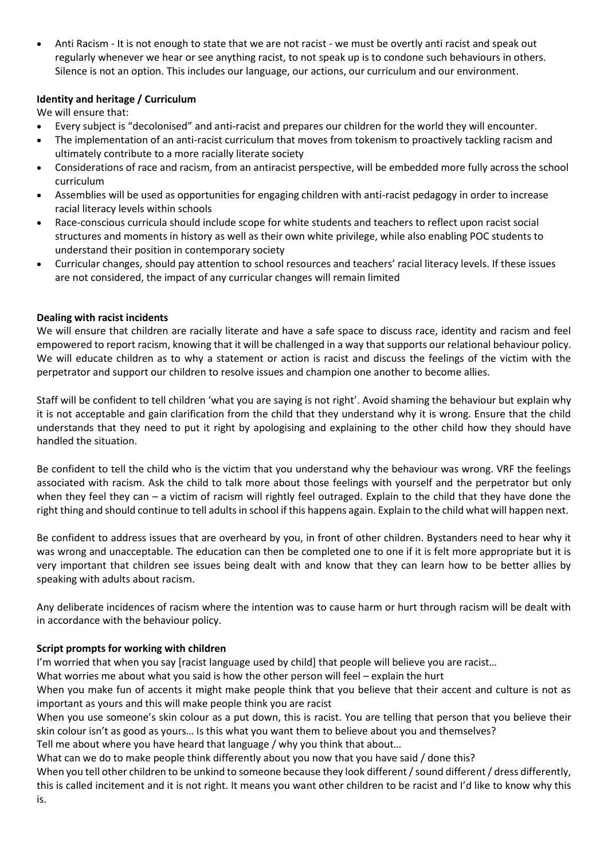• Anti Racism - It is not enough to state that we are not racist - we must be overtly anti racist and speak out regularly whenever we hear or see anything racist, to not speak up is to condone such behaviours in others. Silence is not an option. This includes our language, our actions, our curriculum and our environment.

# **Identity and heritage / Curriculum**

We will ensure that:

- Every subject is "decolonised" and anti-racist and prepares our children for the world they will encounter.
- The implementation of an anti-racist curriculum that moves from tokenism to proactively tackling racism and ultimately contribute to a more racially literate society
- Considerations of race and racism, from an antiracist perspective, will be embedded more fully across the school curriculum
- Assemblies will be used as opportunities for engaging children with anti-racist pedagogy in order to increase racial literacy levels within schools
- Race-conscious curricula should include scope for white students and teachers to reflect upon racist social structures and moments in history as well as their own white privilege, while also enabling POC students to understand their position in contemporary society
- Curricular changes, should pay attention to school resources and teachers' racial literacy levels. If these issues are not considered, the impact of any curricular changes will remain limited

## **Dealing with racist incidents**

We will ensure that children are racially literate and have a safe space to discuss race, identity and racism and feel empowered to report racism, knowing that it will be challenged in a way that supports our relational behaviour policy. We will educate children as to why a statement or action is racist and discuss the feelings of the victim with the perpetrator and support our children to resolve issues and champion one another to become allies.

Staff will be confident to tell children 'what you are saying is not right'. Avoid shaming the behaviour but explain why it is not acceptable and gain clarification from the child that they understand why it is wrong. Ensure that the child understands that they need to put it right by apologising and explaining to the other child how they should have handled the situation.

Be confident to tell the child who is the victim that you understand why the behaviour was wrong. VRF the feelings associated with racism. Ask the child to talk more about those feelings with yourself and the perpetrator but only when they feel they can – a victim of racism will rightly feel outraged. Explain to the child that they have done the right thing and should continue to tell adults in school if this happens again. Explain to the child what will happen next.

Be confident to address issues that are overheard by you, in front of other children. Bystanders need to hear why it was wrong and unacceptable. The education can then be completed one to one if it is felt more appropriate but it is very important that children see issues being dealt with and know that they can learn how to be better allies by speaking with adults about racism.

Any deliberate incidences of racism where the intention was to cause harm or hurt through racism will be dealt with in accordance with the behaviour policy.

## **Script prompts for working with children**

I'm worried that when you say [racist language used by child] that people will believe you are racist…

What worries me about what you said is how the other person will feel – explain the hurt

When you make fun of accents it might make people think that you believe that their accent and culture is not as important as yours and this will make people think you are racist

When you use someone's skin colour as a put down, this is racist. You are telling that person that you believe their skin colour isn't as good as yours… Is this what you want them to believe about you and themselves?

Tell me about where you have heard that language / why you think that about…

What can we do to make people think differently about you now that you have said / done this?

When you tell other children to be unkind to someone because they look different / sound different / dress differently, this is called incitement and it is not right. It means you want other children to be racist and I'd like to know why this is.